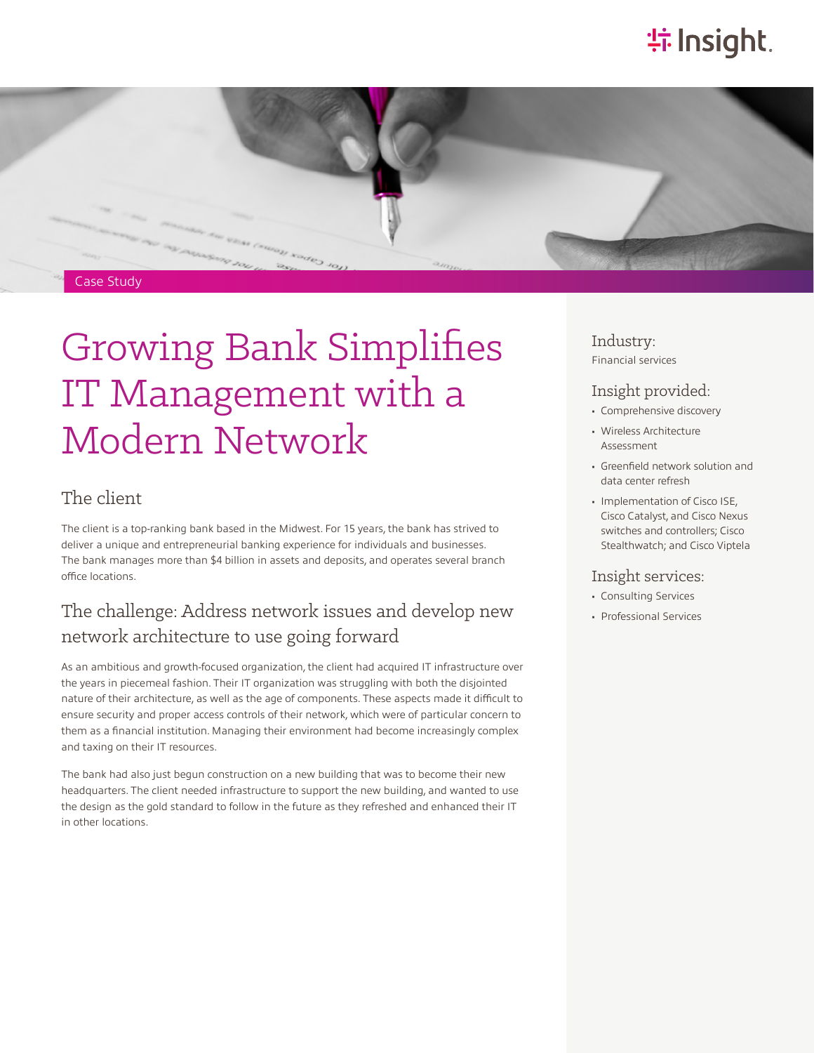# **特Insight**.



# Growing Bank Simplifies IT Management with a Modern Network

#### The client

The client is a top-ranking bank based in the Midwest. For 15 years, the bank has strived to deliver a unique and entrepreneurial banking experience for individuals and businesses. The bank manages more than \$4 billion in assets and deposits, and operates several branch office locations.

#### The challenge: Address network issues and develop new network architecture to use going forward

As an ambitious and growth-focused organization, the client had acquired IT infrastructure over the years in piecemeal fashion. Their IT organization was struggling with both the disjointed nature of their architecture, as well as the age of components. These aspects made it difficult to ensure security and proper access controls of their network, which were of particular concern to them as a financial institution. Managing their environment had become increasingly complex and taxing on their IT resources.

The bank had also just begun construction on a new building that was to become their new headquarters. The client needed infrastructure to support the new building, and wanted to use the design as the gold standard to follow in the future as they refreshed and enhanced their IT in other locations.

Industry: Financial services

#### Insight provided:

- Comprehensive discovery
- Wireless Architecture Assessment
- Greenfield network solution and data center refresh
- Implementation of Cisco ISE, Cisco Catalyst, and Cisco Nexus switches and controllers; Cisco Stealthwatch; and Cisco Viptela

#### Insight services:

- Consulting Services
- Professional Services